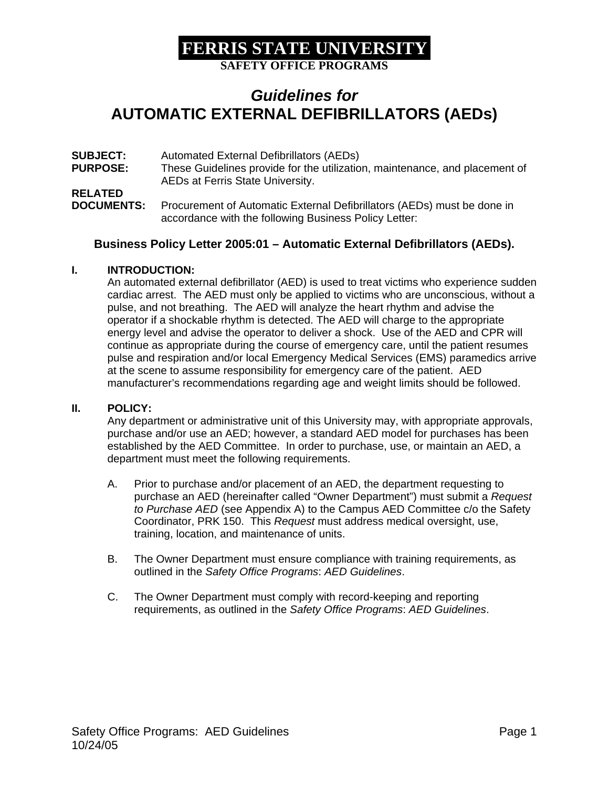**SAFETY OFFICE PROGRAMS** 

## *Guidelines for*  **AUTOMATIC EXTERNAL DEFIBRILLATORS (AEDs)**

**SUBJECT:** Automated External Defibrillators (AEDs) **PURPOSE:** These Guidelines provide for the utilization, maintenance, and placement of AEDs at Ferris State University. **RELATED DOCUMENTS:** Procurement of Automatic External Defibrillators (AEDs) must be done in accordance with the following Business Policy Letter:

#### **Business Policy Letter 2005:01 – Automatic External Defibrillators (AEDs).**

#### **I. INTRODUCTION:**

An automated external defibrillator (AED) is used to treat victims who experience sudden cardiac arrest. The AED must only be applied to victims who are unconscious, without a pulse, and not breathing. The AED will analyze the heart rhythm and advise the operator if a shockable rhythm is detected. The AED will charge to the appropriate energy level and advise the operator to deliver a shock. Use of the AED and CPR will continue as appropriate during the course of emergency care, until the patient resumes pulse and respiration and/or local Emergency Medical Services (EMS) paramedics arrive at the scene to assume responsibility for emergency care of the patient. AED manufacturer's recommendations regarding age and weight limits should be followed.

#### **II. POLICY:**

Any department or administrative unit of this University may, with appropriate approvals, purchase and/or use an AED; however, a standard AED model for purchases has been established by the AED Committee. In order to purchase, use, or maintain an AED, a department must meet the following requirements.

- A. Prior to purchase and/or placement of an AED, the department requesting to purchase an AED (hereinafter called "Owner Department") must submit a *Request to Purchase AED* (see Appendix A) to the Campus AED Committee c/o the Safety Coordinator, PRK 150. This *Request* must address medical oversight, use, training, location, and maintenance of units.
- B. The Owner Department must ensure compliance with training requirements, as outlined in the *Safety Office Programs*: *AED Guidelines*.
- C. The Owner Department must comply with record-keeping and reporting requirements, as outlined in the *Safety Office Programs*: *AED Guidelines*.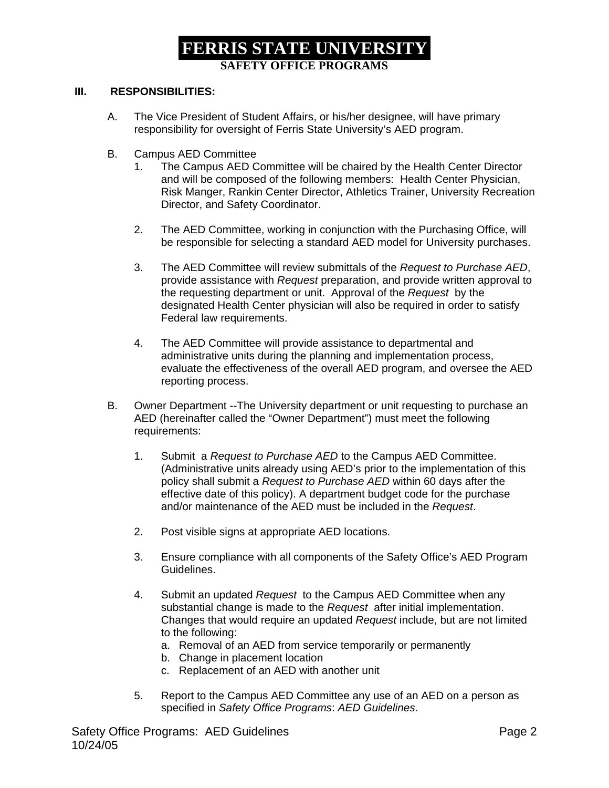### **FERRIS STATE UNIVERSITY SAFETY OFFICE PROGRAMS**

#### **III. RESPONSIBILITIES:**

- A. The Vice President of Student Affairs, or his/her designee, will have primary responsibility for oversight of Ferris State University's AED program.
- B. Campus AED Committee
	- 1. The Campus AED Committee will be chaired by the Health Center Director and will be composed of the following members: Health Center Physician, Risk Manger, Rankin Center Director, Athletics Trainer, University Recreation Director, and Safety Coordinator.
	- 2. The AED Committee, working in conjunction with the Purchasing Office, will be responsible for selecting a standard AED model for University purchases.
	- 3. The AED Committee will review submittals of the *Request to Purchase AED*, provide assistance with *Request* preparation, and provide written approval to the requesting department or unit. Approval of the *Request* by the designated Health Center physician will also be required in order to satisfy Federal law requirements.
	- 4. The AED Committee will provide assistance to departmental and administrative units during the planning and implementation process, evaluate the effectiveness of the overall AED program, and oversee the AED reporting process.
- B. Owner Department --The University department or unit requesting to purchase an AED (hereinafter called the "Owner Department") must meet the following requirements:
	- 1. Submit a *Request to Purchase AED* to the Campus AED Committee. (Administrative units already using AED's prior to the implementation of this policy shall submit a *Request to Purchase AED* within 60 days after the effective date of this policy). A department budget code for the purchase and/or maintenance of the AED must be included in the *Request*.
	- 2. Post visible signs at appropriate AED locations.
	- 3. Ensure compliance with all components of the Safety Office's AED Program Guidelines.
	- 4. Submit an updated *Request* to the Campus AED Committee when any substantial change is made to the *Request* after initial implementation. Changes that would require an updated *Request* include, but are not limited to the following:
		- a. Removal of an AED from service temporarily or permanently
		- b. Change in placement location
		- c. Replacement of an AED with another unit
	- 5. Report to the Campus AED Committee any use of an AED on a person as specified in *Safety Office Programs*: *AED Guidelines*.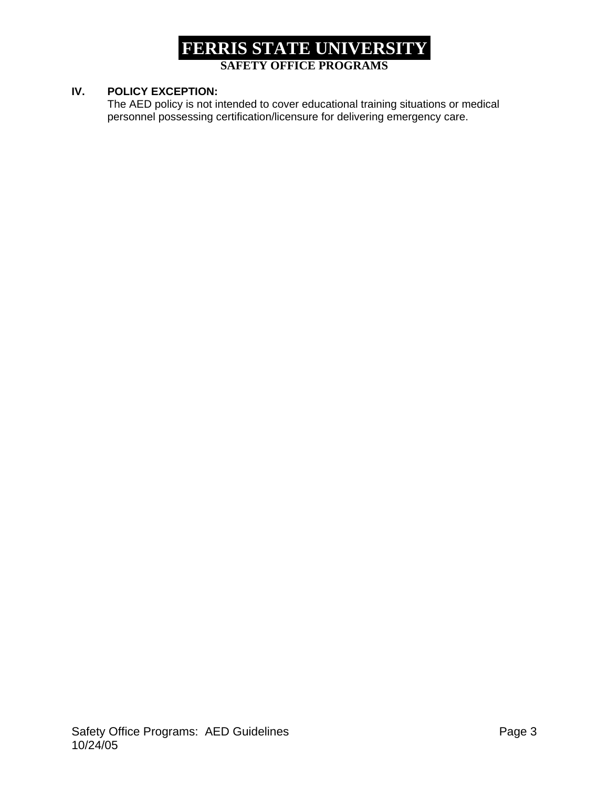### **FERRIS STATE UNIVERSITY SAFETY OFFICE PROGRAMS**

#### **IV. POLICY EXCEPTION:**

The AED policy is not intended to cover educational training situations or medical personnel possessing certification/licensure for delivering emergency care.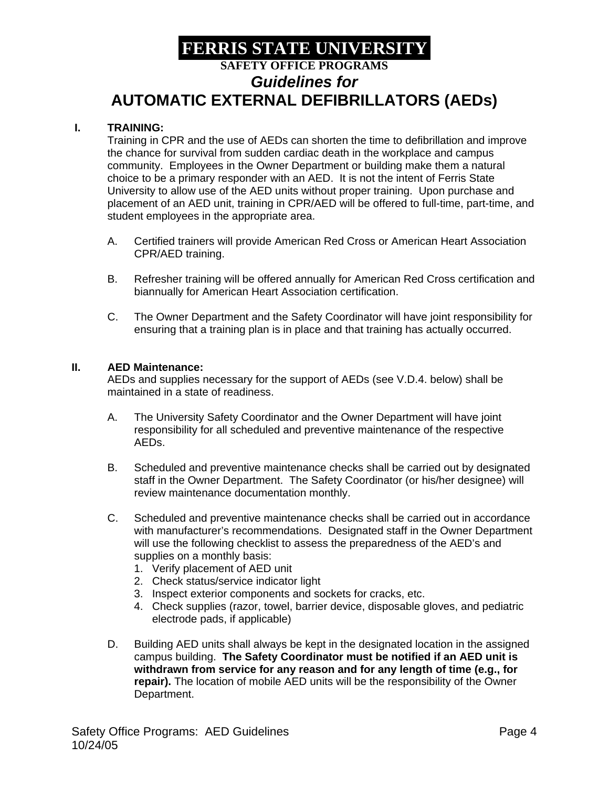## **FERRIS STATE UNIVERSITY SAFETY OFFICE PROGRAMS**  *Guidelines for*  **AUTOMATIC EXTERNAL DEFIBRILLATORS (AEDs)**

#### **I. TRAINING:**

Training in CPR and the use of AEDs can shorten the time to defibrillation and improve the chance for survival from sudden cardiac death in the workplace and campus community. Employees in the Owner Department or building make them a natural choice to be a primary responder with an AED. It is not the intent of Ferris State University to allow use of the AED units without proper training. Upon purchase and placement of an AED unit, training in CPR/AED will be offered to full-time, part-time, and student employees in the appropriate area.

- A. Certified trainers will provide American Red Cross or American Heart Association CPR/AED training.
- B. Refresher training will be offered annually for American Red Cross certification and biannually for American Heart Association certification.
- C. The Owner Department and the Safety Coordinator will have joint responsibility for ensuring that a training plan is in place and that training has actually occurred.

#### **II. AED Maintenance:**

AEDs and supplies necessary for the support of AEDs (see V.D.4. below) shall be maintained in a state of readiness.

- A. The University Safety Coordinator and the Owner Department will have joint responsibility for all scheduled and preventive maintenance of the respective AEDs.
- B. Scheduled and preventive maintenance checks shall be carried out by designated staff in the Owner Department. The Safety Coordinator (or his/her designee) will review maintenance documentation monthly.
- C. Scheduled and preventive maintenance checks shall be carried out in accordance with manufacturer's recommendations. Designated staff in the Owner Department will use the following checklist to assess the preparedness of the AED's and supplies on a monthly basis:
	- 1. Verify placement of AED unit
	- 2. Check status/service indicator light
	- 3. Inspect exterior components and sockets for cracks, etc.
	- 4. Check supplies (razor, towel, barrier device, disposable gloves, and pediatric electrode pads, if applicable)
- D. Building AED units shall always be kept in the designated location in the assigned campus building. **The Safety Coordinator must be notified if an AED unit is withdrawn from service for any reason and for any length of time (e.g., for repair).** The location of mobile AED units will be the responsibility of the Owner Department.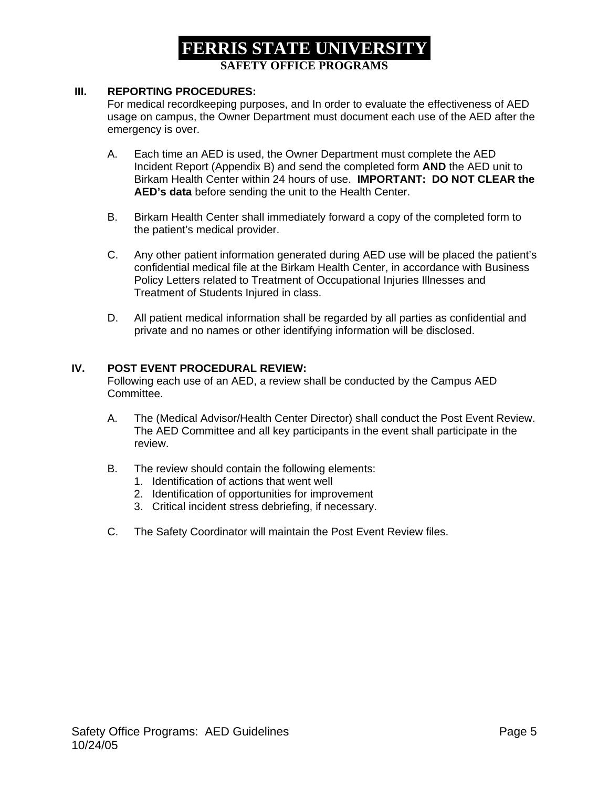### **FERRIS STATE UNIVERSITY SAFETY OFFICE PROGRAMS**

#### **III. REPORTING PROCEDURES:**

For medical recordkeeping purposes, and In order to evaluate the effectiveness of AED usage on campus, the Owner Department must document each use of the AED after the emergency is over.

- A. Each time an AED is used, the Owner Department must complete the AED Incident Report (Appendix B) and send the completed form **AND** the AED unit to Birkam Health Center within 24 hours of use. **IMPORTANT: DO NOT CLEAR the AED's data** before sending the unit to the Health Center.
- B. Birkam Health Center shall immediately forward a copy of the completed form to the patient's medical provider.
- C. Any other patient information generated during AED use will be placed the patient's confidential medical file at the Birkam Health Center, in accordance with Business Policy Letters related to Treatment of Occupational Injuries Illnesses and Treatment of Students Injured in class.
- D. All patient medical information shall be regarded by all parties as confidential and private and no names or other identifying information will be disclosed.

#### **IV. POST EVENT PROCEDURAL REVIEW:**

Following each use of an AED, a review shall be conducted by the Campus AED Committee.

- A. The (Medical Advisor/Health Center Director) shall conduct the Post Event Review. The AED Committee and all key participants in the event shall participate in the review.
- B. The review should contain the following elements:
	- 1. Identification of actions that went well
	- 2. Identification of opportunities for improvement
	- 3. Critical incident stress debriefing, if necessary.
- C. The Safety Coordinator will maintain the Post Event Review files.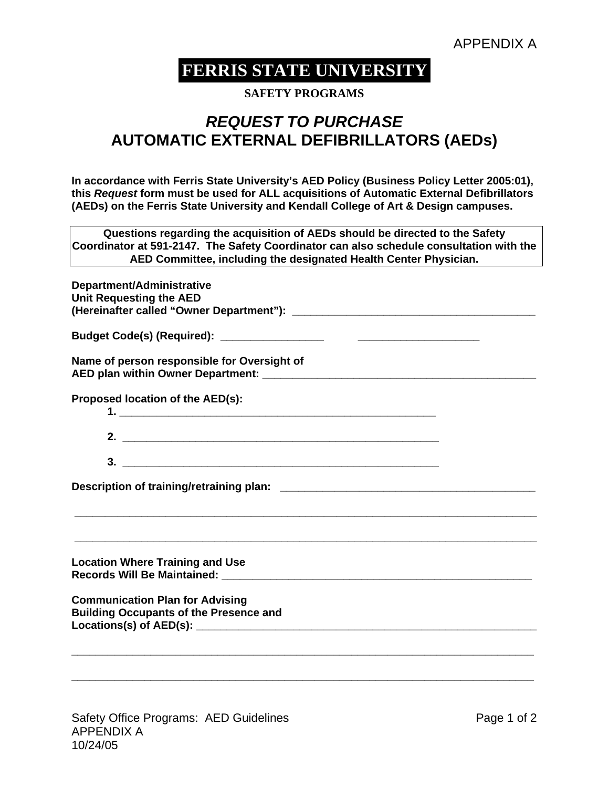**SAFETY PROGRAMS** 

## *REQUEST TO PURCHASE*  **AUTOMATIC EXTERNAL DEFIBRILLATORS (AEDs)**

**In accordance with Ferris State University's AED Policy (Business Policy Letter 2005:01), this** *Request* **form must be used for ALL acquisitions of Automatic External Defibrillators (AEDs) on the Ferris State University and Kendall College of Art & Design campuses.** 

**Questions regarding the acquisition of AEDs should be directed to the Safety Coordinator at 591-2147. The Safety Coordinator can also schedule consultation with the AED Committee, including the designated Health Center Physician.** 

| Department/Administrative<br><b>Unit Requesting the AED</b>                                                                                                                                                                                                              |
|--------------------------------------------------------------------------------------------------------------------------------------------------------------------------------------------------------------------------------------------------------------------------|
|                                                                                                                                                                                                                                                                          |
| Name of person responsible for Oversight of                                                                                                                                                                                                                              |
| Proposed location of the AED(s):                                                                                                                                                                                                                                         |
|                                                                                                                                                                                                                                                                          |
|                                                                                                                                                                                                                                                                          |
|                                                                                                                                                                                                                                                                          |
| <b>Location Where Training and Use</b><br>Records Will Be Maintained: We are also asset to the control of the control of the control of the control of the control of the control of the control of the control of the control of the control of the control of the cont |
| <b>Communication Plan for Advising</b><br><b>Building Occupants of the Presence and</b>                                                                                                                                                                                  |
|                                                                                                                                                                                                                                                                          |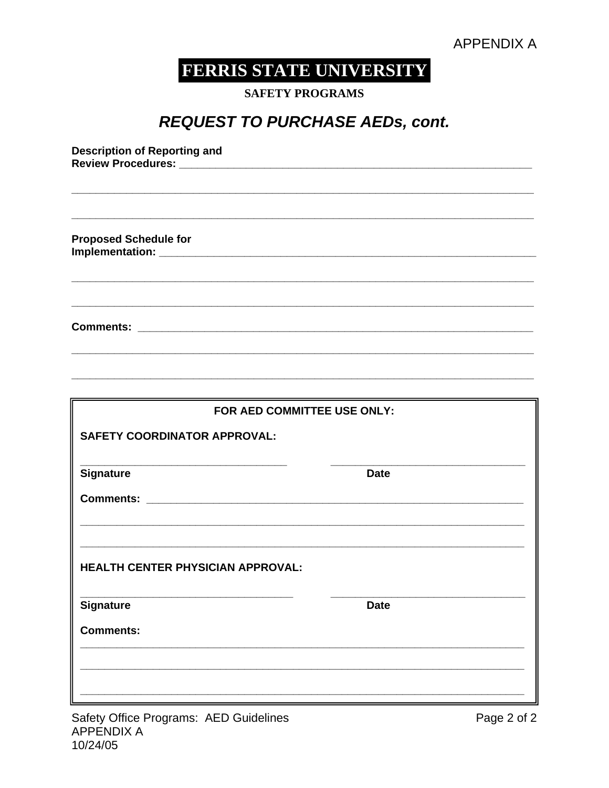**SAFETY PROGRAMS** 

# **REQUEST TO PURCHASE AEDs, cont.**

**Description of Reporting and** Review Procedures: \_\_\_\_\_\_\_\_\_ **Proposed Schedule for** FOR AED COMMITTEE USE ONLY: **SAFETY COORDINATOR APPROVAL:**  $\frac{1}{2}$ Signature **Date** HEALTH CENTER PHYSICIAN APPROVAL: Signature **Date Comments:**